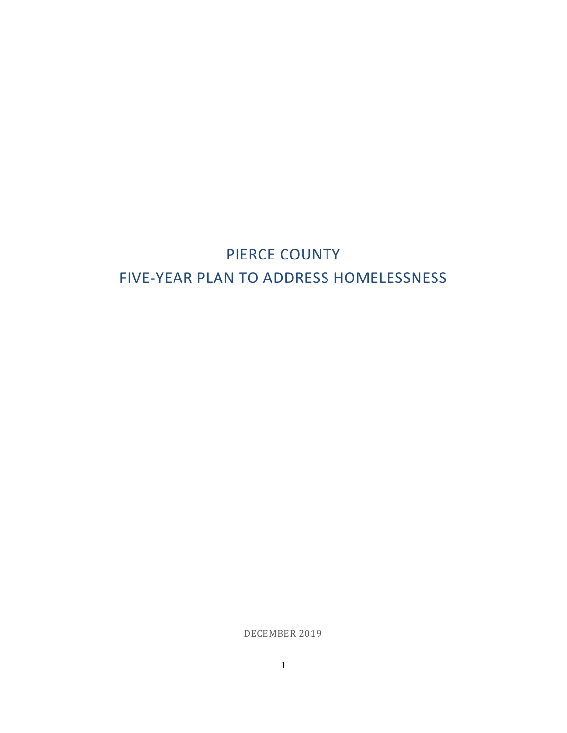# PIERCE COUNTY FIVE-YEAR PLAN TO ADDRESS HOMELESSNESS

DECEMBER 2019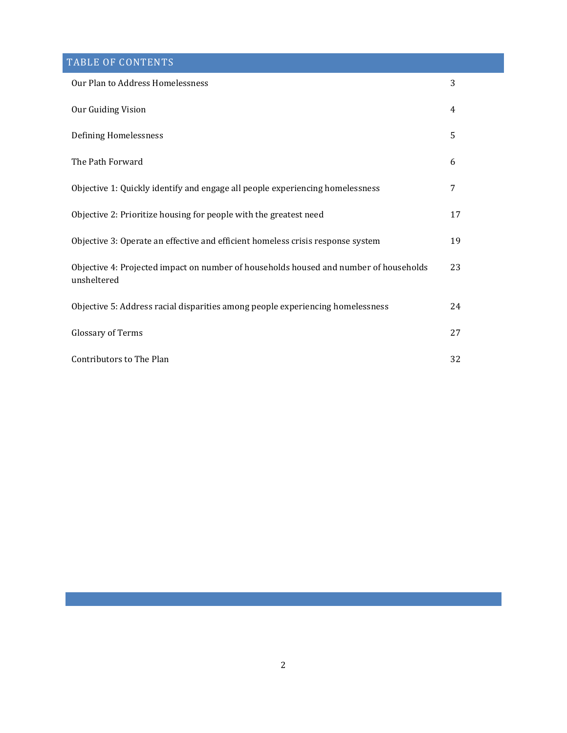## TABLE OF CONTENTS

| Our Plan to Address Homelessness                                                                     | 3  |
|------------------------------------------------------------------------------------------------------|----|
| Our Guiding Vision                                                                                   | 4  |
| Defining Homelessness                                                                                | 5  |
| The Path Forward                                                                                     | 6  |
| Objective 1: Quickly identify and engage all people experiencing homelessness                        | 7  |
| Objective 2: Prioritize housing for people with the greatest need                                    | 17 |
| Objective 3: Operate an effective and efficient homeless crisis response system                      | 19 |
| Objective 4: Projected impact on number of households housed and number of households<br>unsheltered | 23 |
| Objective 5: Address racial disparities among people experiencing homelessness                       | 24 |
| Glossary of Terms                                                                                    | 27 |
| Contributors to The Plan                                                                             | 32 |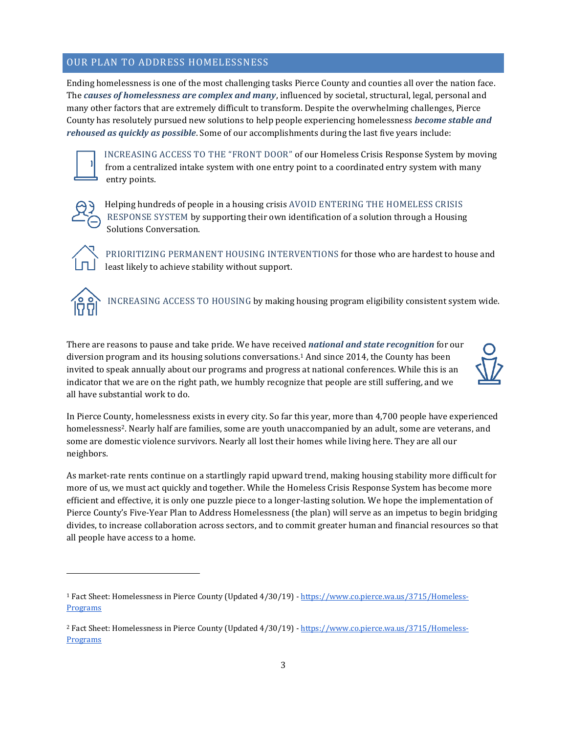## OUR PLAN TO ADDRESS HOMELESSNESS

Ending homelessness is one of the most challenging tasks Pierce County and counties all over the nation face. The *causes of homelessness are complex and many*, influenced by societal, structural, legal, personal and many other factors that are extremely difficult to transform. Despite the overwhelming challenges, Pierce County has resolutely pursued new solutions to help people experiencing homelessness *become stable and rehoused as quickly as possible*. Some of our accomplishments during the last five years include:



INCREASING ACCESS TO THE "FRONT DOOR" of our Homeless Crisis Response System by moving from a centralized intake system with one entry point to a coordinated entry system with many entry points.



Helping hundreds of people in a housing crisis AVOID ENTERING THE HOMELESS CRISIS RESPONSE SYSTEM by supporting their own identification of a solution through a Housing Solutions Conversation.



PRIORITIZING PERMANENT HOUSING INTERVENTIONS for those who are hardest to house and least likely to achieve stability without support.



INCREASING ACCESS TO HOUSING by making housing program eligibility consistent system wide.

There are reasons to pause and take pride. We have received *national and state recognition* for our diversion program and its housing solutions conversations.<sup>1</sup> And since 2014, the County has been invited to speak annually about our programs and progress at national conferences. While this is an indicator that we are on the right path, we humbly recognize that people are still suffering, and we all have substantial work to do.



In Pierce County, homelessness exists in every city. So far this year, more than 4,700 people have experienced homelessness<sup>2</sup>. Nearly half are families, some are youth unaccompanied by an adult, some are veterans, and some are domestic violence survivors. Nearly all lost their homes while living here. They are all our neighbors.

As market-rate rents continue on a startlingly rapid upward trend, making housing stability more difficult for more of us, we must act quickly and together. While the Homeless Crisis Response System has become more efficient and effective, it is only one puzzle piece to a longer-lasting solution. We hope the implementation of Pierce County's Five-Year Plan to Address Homelessness (the plan) will serve as an impetus to begin bridging divides, to increase collaboration across sectors, and to commit greater human and financial resources so that all people have access to a home.

<sup>1</sup> Fact Sheet: Homelessness in Pierce County (Updated 4/30/19) - [https://www.co.pierce.wa.us/3715/Homeless-](https://www.co.pierce.wa.us/3715/Homeless-Programs)**[Programs](https://www.co.pierce.wa.us/3715/Homeless-Programs)** 

<sup>2</sup> Fact Sheet: Homelessness in Pierce County (Updated 4/30/19) - [https://www.co.pierce.wa.us/3715/Homeless-](https://www.co.pierce.wa.us/3715/Homeless-Programs)**[Programs](https://www.co.pierce.wa.us/3715/Homeless-Programs)**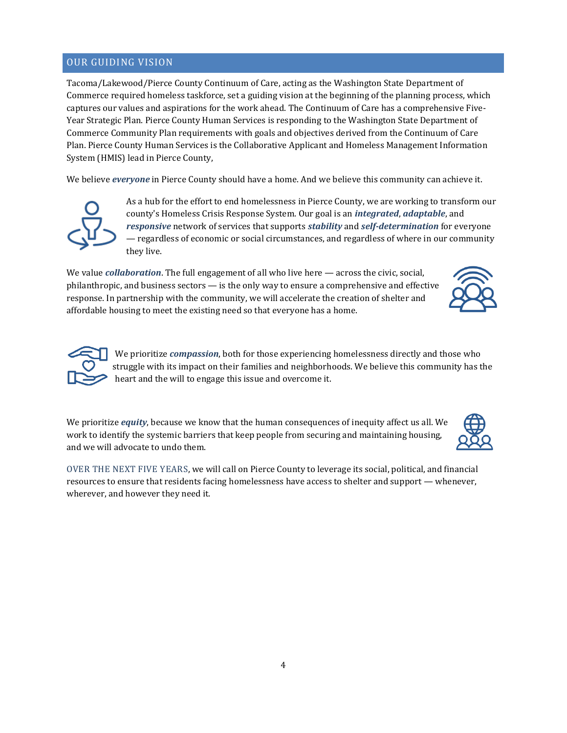## OUR GUIDING VISION

Tacoma/Lakewood/Pierce County Continuum of Care, acting as the Washington State Department of Commerce required homeless taskforce, set a guiding vision at the beginning of the planning process, which captures our values and aspirations for the work ahead. The Continuum of Care has a comprehensive Five-Year Strategic Plan. Pierce County Human Services is responding to the Washington State Department of Commerce Community Plan requirements with goals and objectives derived from the Continuum of Care Plan. Pierce County Human Services is the Collaborative Applicant and Homeless Management Information System (HMIS) lead in Pierce County,

We believe *everyone* in Pierce County should have a home. And we believe this community can achieve it.



As a hub for the effort to end homelessness in Pierce County, we are working to transform our county's Homeless Crisis Response System. Our goal is an *integrated*, *adaptable*, and *responsive* network of services that supports *stability* and *self-determination* for everyone — regardless of economic or social circumstances, and regardless of where in our community they live.

We value *collaboration*. The full engagement of all who live here — across the civic, social, philanthropic, and business sectors — is the only way to ensure a comprehensive and effective response. In partnership with the community, we will accelerate the creation of shelter and affordable housing to meet the existing need so that everyone has a home.





We prioritize *compassion*, both for those experiencing homelessness directly and those who struggle with its impact on their families and neighborhoods. We believe this community has the heart and the will to engage this issue and overcome it.

We prioritize *equity*, because we know that the human consequences of inequity affect us all. We work to identify the systemic barriers that keep people from securing and maintaining housing, and we will advocate to undo them.



OVER THE NEXT FIVE YEARS, we will call on Pierce County to leverage its social, political, and financial resources to ensure that residents facing homelessness have access to shelter and support — whenever, wherever, and however they need it.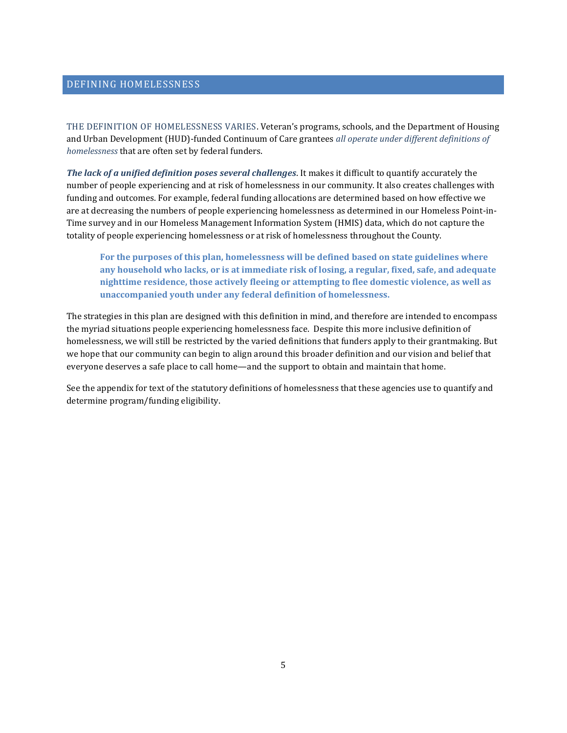## DEFINING HOMELESSNESS

THE DEFINITION OF HOMELESSNESS VARIES. Veteran's programs, schools, and the Department of Housing and Urban Development (HUD)-funded Continuum of Care grantees *all operate under different definitions of homelessness* that are often set by federal funders.

*The lack of a unified definition poses several challenges*. It makes it difficult to quantify accurately the number of people experiencing and at risk of homelessness in our community. It also creates challenges with funding and outcomes. For example, federal funding allocations are determined based on how effective we are at decreasing the numbers of people experiencing homelessness as determined in our Homeless Point-in-Time survey and in our Homeless Management Information System (HMIS) data, which do not capture the totality of people experiencing homelessness or at risk of homelessness throughout the County.

**For the purposes of this plan, homelessness will be defined based on state guidelines where any household who lacks, or is at immediate risk of losing, a regular, fixed, safe, and adequate nighttime residence, those actively fleeing or attempting to flee domestic violence, as well as unaccompanied youth under any federal definition of homelessness.** 

The strategies in this plan are designed with this definition in mind, and therefore are intended to encompass the myriad situations people experiencing homelessness face. Despite this more inclusive definition of homelessness, we will still be restricted by the varied definitions that funders apply to their grantmaking. But we hope that our community can begin to align around this broader definition and our vision and belief that everyone deserves a safe place to call home—and the support to obtain and maintain that home.

See the appendix for text of the statutory definitions of homelessness that these agencies use to quantify and determine program/funding eligibility.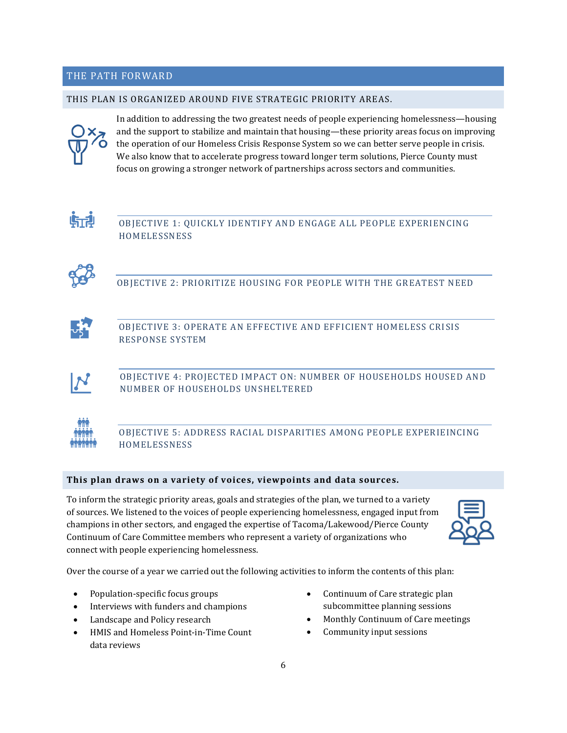## THE PATH FORWARD

### THIS PLAN IS ORGANIZED AROUND FIVE STRATEGIC PRIORITY AREAS.



In addition to addressing the two greatest needs of people experiencing homelessness—housing and the support to stabilize and maintain that housing—these priority areas focus on improving the operation of our Homeless Crisis Response System so we can better serve people in crisis. We also know that to accelerate progress toward longer term solutions, Pierce County must focus on growing a stronger network of partnerships across sectors and communities.



OBJECTIVE 1: QUICKLY IDENTIFY AND ENGAGE ALL PEOPLE EXPERIENCING HOMELESSNESS



OBJECTIVE 2: PRIORITIZE HOUSING FOR PEOPLE WITH THE GREATEST NEED



OBJECTIVE 3: OPERATE AN EFFECTIVE AND EFFICIENT HOMELESS CRISIS RESPONSE SYSTEM



OBJECTIVE 4: PROJECTED IMPACT ON: NUMBER OF HOUSEHOLDS HOUSED AND NUMBER OF HOUSEHOLDS UNSHELTERED



OBJECTIVE 5: ADDRESS RACIAL DISPARITIES AMONG PEOPLE EXPERIEINCING HOMELESSNESS

## **This plan draws on a variety of voices, viewpoints and data sources.**

To inform the strategic priority areas, goals and strategies of the plan, we turned to a variety of sources. We listened to the voices of people experiencing homelessness, engaged input from champions in other sectors, and engaged the expertise of Tacoma/Lakewood/Pierce County Continuum of Care Committee members who represent a variety of organizations who connect with people experiencing homelessness.



Over the course of a year we carried out the following activities to inform the contents of this plan:

- Population-specific focus groups
- Interviews with funders and champions
- Landscape and Policy research
- HMIS and Homeless Point-in-Time Count data reviews
- Continuum of Care strategic plan subcommittee planning sessions
- Monthly Continuum of Care meetings
- Community input sessions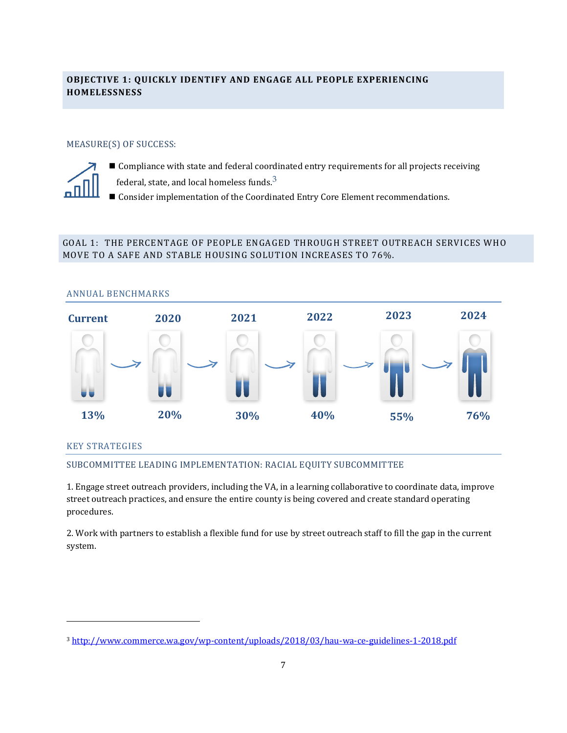## **OBJECTIVE 1: QUICKLY IDENTIFY AND ENGAGE ALL PEOPLE EXPERIENCING HOMELESSNESS**

## MEASURE(S) OF SUCCESS:



- Compliance with state and federal coordinated entry requirements for all projects receiving
- federal, state, and local homeless funds. $^3$
- Consider implementation of the Coordinated Entry Core Element recommendations.

## GOAL 1: THE PERCENTAGE OF PEOPLE ENGAGED THROUGH STREET OUTREACH SERVICES WHO MOVE TO A SAFE AND STABLE HOUSING SOLUTION INCREASES TO 76%.



## KEY STRATEGIES

## SUBCOMMITTEE LEADING IMPLEMENTATION: RACIAL EQUITY SUBCOMMITTEE

1. Engage street outreach providers, including the VA, in a learning collaborative to coordinate data, improve street outreach practices, and ensure the entire county is being covered and create standard operating procedures.

2. Work with partners to establish a flexible fund for use by street outreach staff to fill the gap in the current system.

<sup>3</sup> <http://www.commerce.wa.gov/wp-content/uploads/2018/03/hau-wa-ce-guidelines-1-2018.pdf>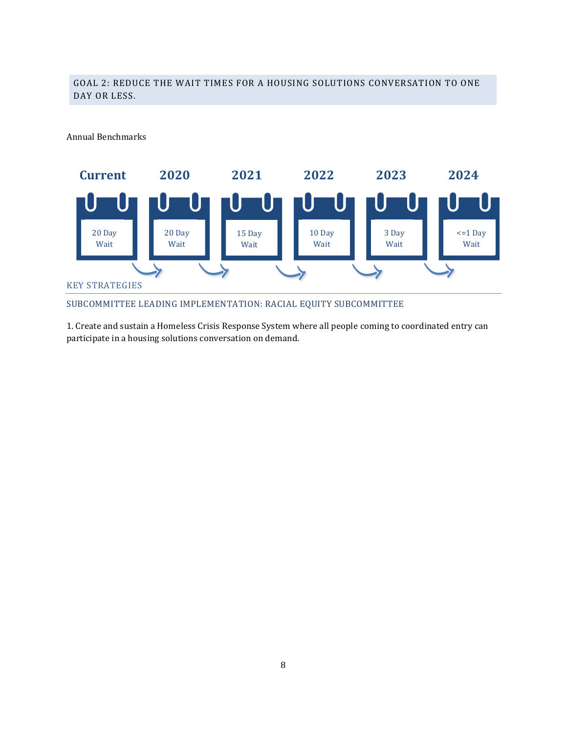## GOAL 2: REDUCE THE WAIT TIMES FOR A HOUSING SOLUTIONS CONVERSATION TO ONE DAY OR LESS.

Annual Benchmarks



SUBCOMMITTEE LEADING IMPLEMENTATION: RACIAL EQUITY SUBCOMMITTEE

1. Create and sustain a Homeless Crisis Response System where all people coming to coordinated entry can participate in a housing solutions conversation on demand.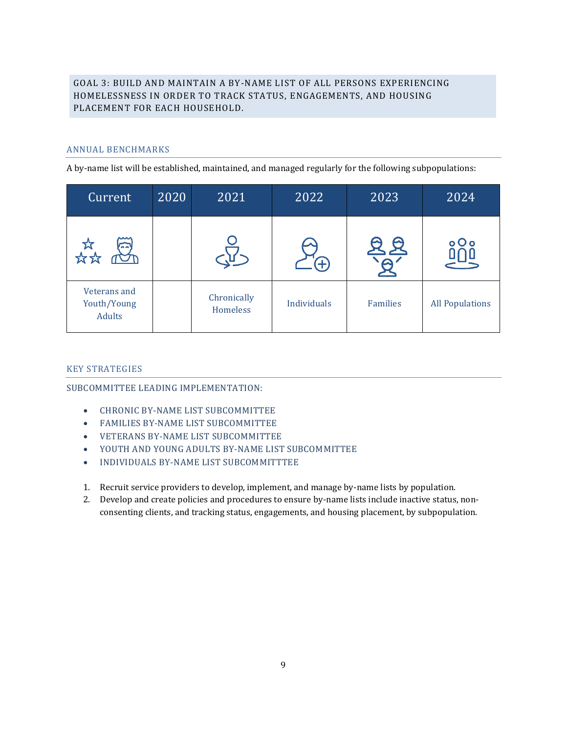## GOAL 3: BUILD AND MAINTAIN A BY-NAME LIST OF ALL PERSONS EXPERIENCING HOMELESSNESS IN ORDER TO TRACK STATUS, ENGAGEMENTS, AND HOUSING PLACEMENT FOR EACH HOUSEHOLD.

## ANNUAL BENCHMARKS

A by-name list will be established, maintained, and managed regularly for the following subpopulations:

| Current                                      | 2020 | 2021                    | 2022        | 2023            | 2024                   |
|----------------------------------------------|------|-------------------------|-------------|-----------------|------------------------|
| ММ<br>$\overline{a}$                         |      |                         | Æ           |                 | $o$ Oo                 |
| Veterans and<br>Youth/Young<br><b>Adults</b> |      | Chronically<br>Homeless | Individuals | <b>Families</b> | <b>All Populations</b> |

## KEY STRATEGIES

SUBCOMMITTEE LEADING IMPLEMENTATION:

- CHRONIC BY-NAME LIST SUBCOMMITTEE
- FAMILIES BY-NAME LIST SUBCOMMITTEE
- VETERANS BY-NAME LIST SUBCOMMITTEE
- YOUTH AND YOUNG ADULTS BY-NAME LIST SUBCOMMITTEE
- INDIVIDUALS BY-NAME LIST SUBCOMMITTTEE
- 1. Recruit service providers to develop, implement, and manage by-name lists by population.
- 2. Develop and create policies and procedures to ensure by-name lists include inactive status, nonconsenting clients, and tracking status, engagements, and housing placement, by subpopulation.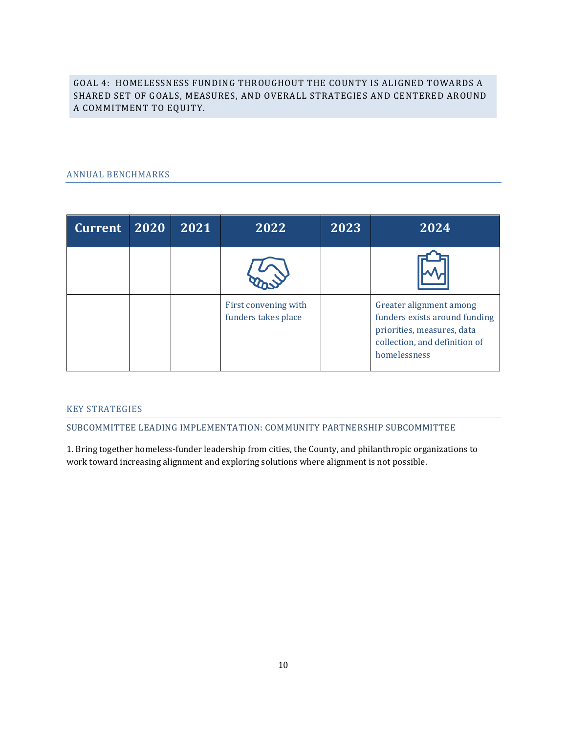GOAL 4: HOMELESSNESS FUNDING THROUGHOUT THE COUNTY IS ALIGNED TOWARDS A SHARED SET OF GOALS, MEASURES, AND OVERALL STRATEGIES AND CENTERED AROUND A COMMITMENT TO EQUITY.

## ANNUAL BENCHMARKS

| <b>Current</b> | 2020 | 2021 | 2022                                        | 2023 | 2024                                                                                                                                    |
|----------------|------|------|---------------------------------------------|------|-----------------------------------------------------------------------------------------------------------------------------------------|
|                |      |      |                                             |      |                                                                                                                                         |
|                |      |      | First convening with<br>funders takes place |      | Greater alignment among<br>funders exists around funding<br>priorities, measures, data<br>collection, and definition of<br>homelessness |

## KEY STRATEGIES

SUBCOMMITTEE LEADING IMPLEMENTATION: COMMUNITY PARTNERSHIP SUBCOMMITTEE

1. Bring together homeless-funder leadership from cities, the County, and philanthropic organizations to work toward increasing alignment and exploring solutions where alignment is not possible.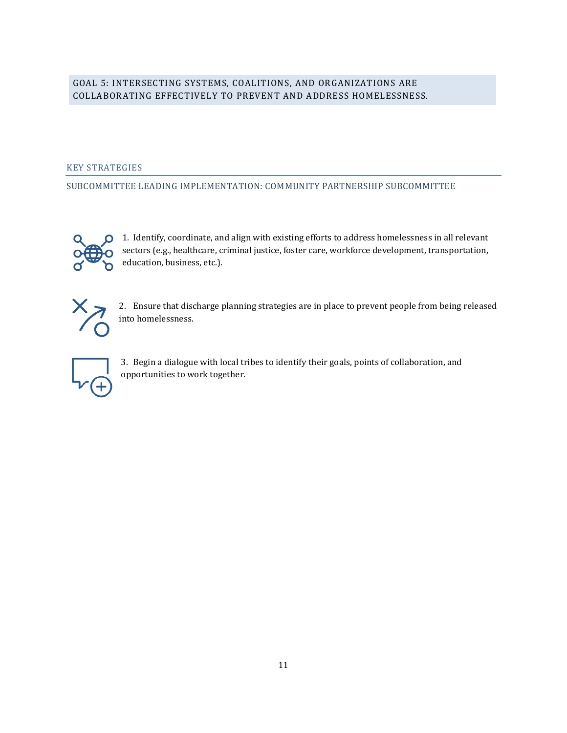## GOAL 5: INTERSECTING SYSTEMS, COALITIONS, AND ORGANIZATIONS ARE COLLABORATING EFFECTIVELY TO PREVENT AND ADDRESS HOMELESSNESS.

## KEY STRATEGIES

SUBCOMMITTEE LEADING IMPLEMENTATION: COMMUNITY PARTNERSHIP SUBCOMMITTEE



1. Identify, coordinate, and align with existing efforts to address homelessness in all relevant sectors (e.g., healthcare, criminal justice, foster care, workforce development, transportation, education, business, etc.).



2. Ensure that discharge planning strategies are in place to prevent people from being released into homelessness.



3. Begin a dialogue with local tribes to identify their goals, points of collaboration, and opportunities to work together.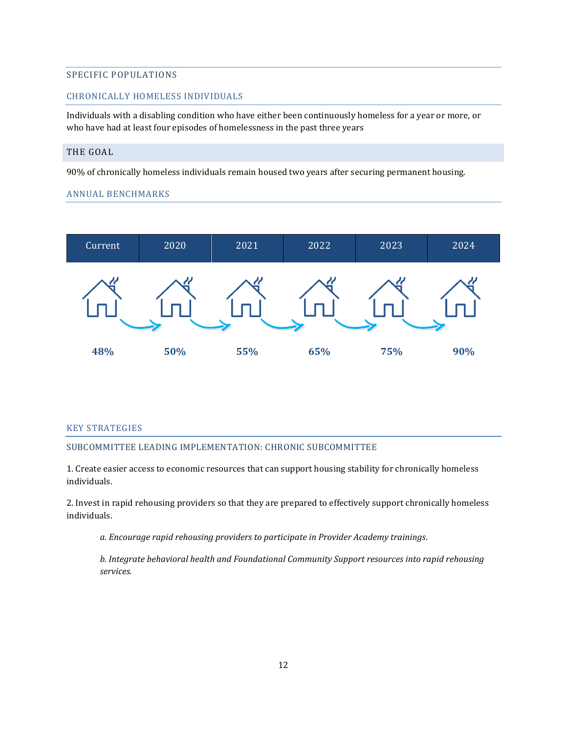## SPECIFIC POPULATIONS

## CHRONICALLY HOMELESS INDIVIDUALS

Individuals with a disabling condition who have either been continuously homeless for a year or more, or who have had at least four episodes of homelessness in the past three years

## THE GOAL

90% of chronically homeless individuals remain housed two years after securing permanent housing.

## ANNUAL BENCHMARKS



### KEY STRATEGIES

### SUBCOMMITTEE LEADING IMPLEMENTATION: CHRONIC SUBCOMMITTEE

1. Create easier access to economic resources that can support housing stability for chronically homeless individuals.

2. Invest in rapid rehousing providers so that they are prepared to effectively support chronically homeless individuals.

*a. Encourage rapid rehousing providers to participate in Provider Academy trainings.*

*b. Integrate behavioral health and Foundational Community Support resources into rapid rehousing services.*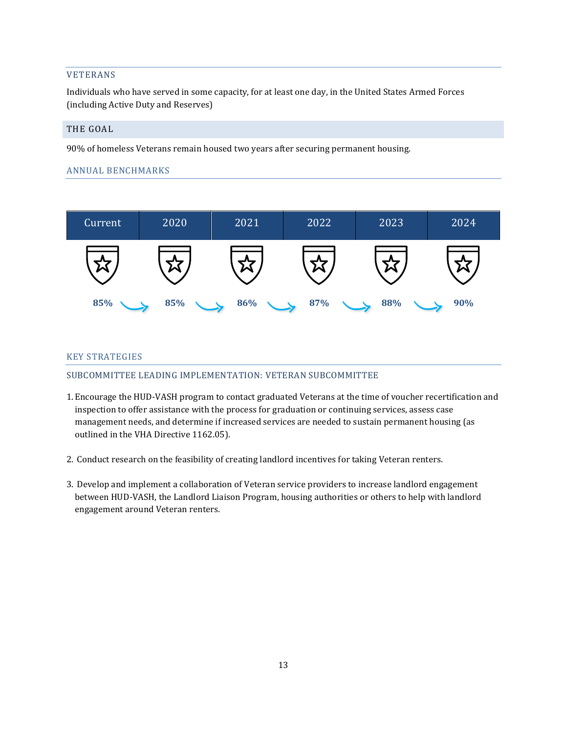## VETERANS

Individuals who have served in some capacity, for at least one day, in the United States Armed Forces (including Active Duty and Reserves)

## THE GOAL

90% of homeless Veterans remain housed two years after securing permanent housing.

## ANNUAL BENCHMARKS



### KEY STRATEGIES

### SUBCOMMITTEE LEADING IMPLEMENTATION: VETERAN SUBCOMMITTEE

- 1. Encourage the HUD-VASH program to contact graduated Veterans at the time of voucher recertification and inspection to offer assistance with the process for graduation or continuing services, assess case management needs, and determine if increased services are needed to sustain permanent housing (as outlined in the VHA Directive 1162.05).
- 2. Conduct research on the feasibility of creating landlord incentives for taking Veteran renters.
- 3. Develop and implement a collaboration of Veteran service providers to increase landlord engagement between HUD-VASH, the Landlord Liaison Program, housing authorities or others to help with landlord engagement around Veteran renters.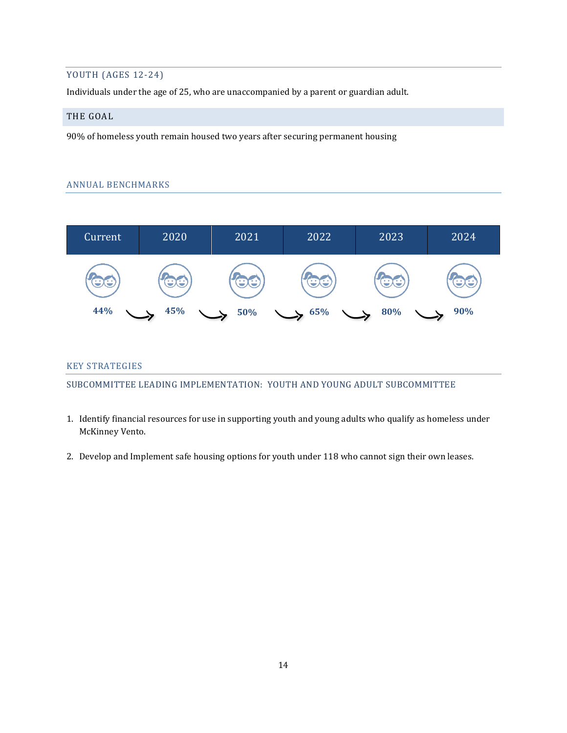## YOUTH (AGES 12-24)

Individuals under the age of 25, who are unaccompanied by a parent or guardian adult.

## THE GOAL

90% of homeless youth remain housed two years after securing permanent housing

## ANNUAL BENCHMARKS



## KEY STRATEGIES

SUBCOMMITTEE LEADING IMPLEMENTATION: YOUTH AND YOUNG ADULT SUBCOMMITTEE

- 1. Identify financial resources for use in supporting youth and young adults who qualify as homeless under McKinney Vento.
- 2. Develop and Implement safe housing options for youth under 118 who cannot sign their own leases.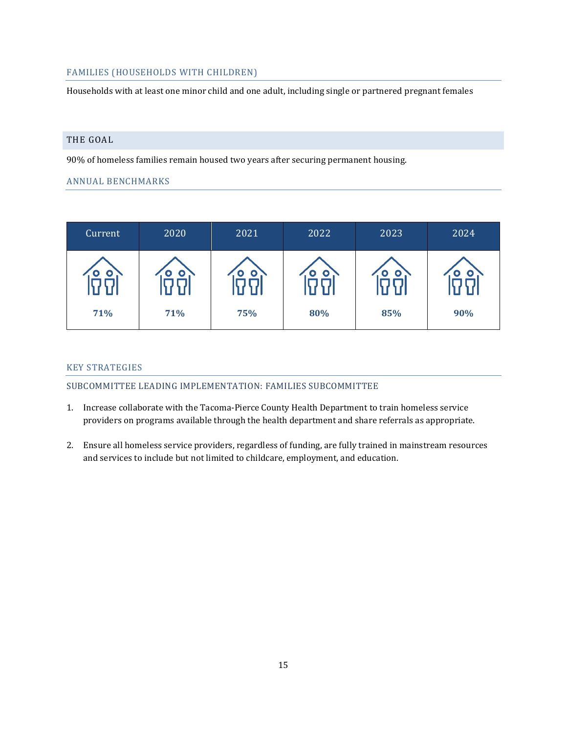## FAMILIES (HOUSEHOLDS WITH CHILDREN)

Households with at least one minor child and one adult, including single or partnered pregnant females

## THE GOAL

90% of homeless families remain housed two years after securing permanent housing.

## ANNUAL BENCHMARKS

| Current | 2020      | 2021 | 2022 | 2023 | 2024 |
|---------|-----------|------|------|------|------|
|         | $\bullet$ | o    | O    |      |      |
| 71%     | 71%       | 75%  | 80%  | 85%  | 90%  |

## KEY STRATEGIES

### SUBCOMMITTEE LEADING IMPLEMENTATION: FAMILIES SUBCOMMITTEE

- 1. Increase collaborate with the Tacoma-Pierce County Health Department to train homeless service providers on programs available through the health department and share referrals as appropriate.
- 2. Ensure all homeless service providers, regardless of funding, are fully trained in mainstream resources and services to include but not limited to childcare, employment, and education.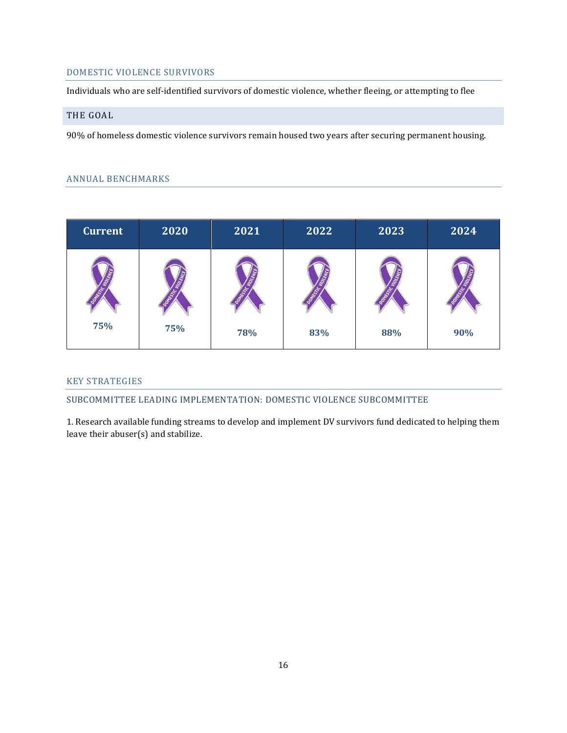## DOMESTIC VIOLENCE SURVIVORS

Individuals who are self-identified survivors of domestic violence, whether fleeing, or attempting to flee

## THE GOAL

90% of homeless domestic violence survivors remain housed two years after securing permanent housing.

## ANNUAL BENCHMARKS

| <b>Current</b> | 2020 | 2021 | 2022 | 2023 | 2024 |
|----------------|------|------|------|------|------|
|                |      |      |      |      |      |
| 75%            | 75%  | 78%  | 83%  | 88%  | 90%  |

## KEY STRATEGIES

SUBCOMMITTEE LEADING IMPLEMENTATION: DOMESTIC VIOLENCE SUBCOMMITTEE

1. Research available funding streams to develop and implement DV survivors fund dedicated to helping them leave their abuser(s) and stabilize.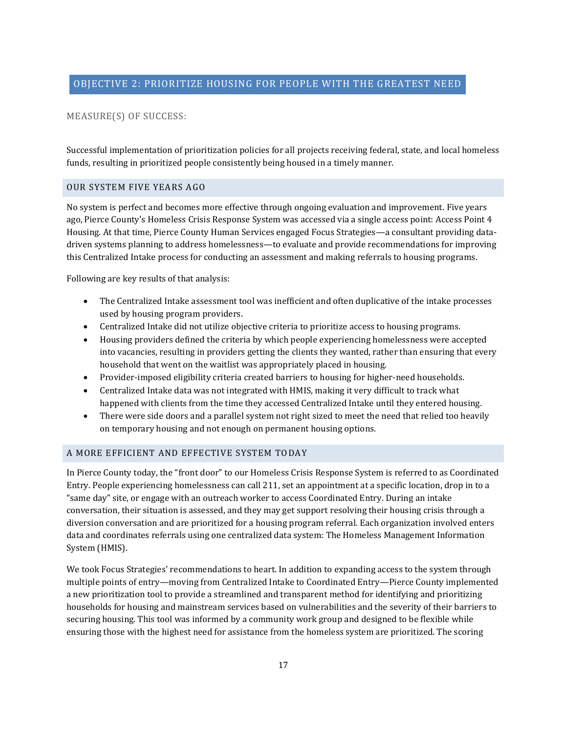## MEASURE(S) OF SUCCESS:

Successful implementation of prioritization policies for all projects receiving federal, state, and local homeless funds, resulting in prioritized people consistently being housed in a timely manner.

### OUR SYSTEM FIVE YEARS AGO

No system is perfect and becomes more effective through ongoing evaluation and improvement. Five years ago, Pierce County's Homeless Crisis Response System was accessed via a single access point: Access Point 4 Housing. At that time, Pierce County Human Services engaged Focus Strategies—a consultant providing datadriven systems planning to address homelessness—to evaluate and provide recommendations for improving this Centralized Intake process for conducting an assessment and making referrals to housing programs.

Following are key results of that analysis:

- The Centralized Intake assessment tool was inefficient and often duplicative of the intake processes used by housing program providers.
- Centralized Intake did not utilize objective criteria to prioritize access to housing programs.
- Housing providers defined the criteria by which people experiencing homelessness were accepted into vacancies, resulting in providers getting the clients they wanted, rather than ensuring that every household that went on the waitlist was appropriately placed in housing.
- Provider-imposed eligibility criteria created barriers to housing for higher-need households.
- Centralized Intake data was not integrated with HMIS, making it very difficult to track what happened with clients from the time they accessed Centralized Intake until they entered housing.
- There were side doors and a parallel system not right sized to meet the need that relied too heavily on temporary housing and not enough on permanent housing options.

## A MORE EFFICIENT AND EFFECTIVE SYSTEM TODAY

In Pierce County today, the "front door" to our Homeless Crisis Response System is referred to as Coordinated Entry. People experiencing homelessness can call 211, set an appointment at a specific location, drop in to a "same day" site, or engage with an outreach worker to access Coordinated Entry. During an intake conversation, their situation is assessed, and they may get support resolving their housing crisis through a diversion conversation and are prioritized for a housing program referral. Each organization involved enters data and coordinates referrals using one centralized data system: The Homeless Management Information System (HMIS).

We took Focus Strategies' recommendations to heart. In addition to expanding access to the system through multiple points of entry—moving from Centralized Intake to Coordinated Entry—Pierce County implemented a new prioritization tool to provide a streamlined and transparent method for identifying and prioritizing households for housing and mainstream services based on vulnerabilities and the severity of their barriers to securing housing. This tool was informed by a community work group and designed to be flexible while ensuring those with the highest need for assistance from the homeless system are prioritized. The scoring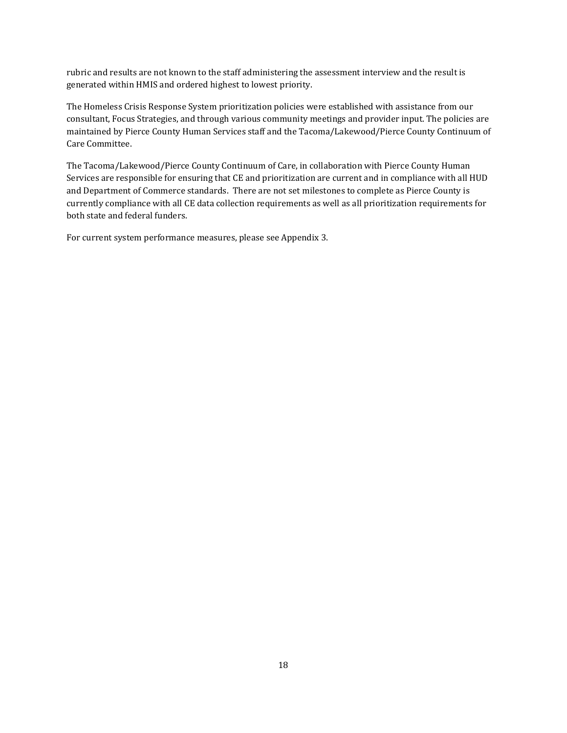rubric and results are not known to the staff administering the assessment interview and the result is generated within HMIS and ordered highest to lowest priority.

The Homeless Crisis Response System prioritization policies were established with assistance from our consultant, Focus Strategies, and through various community meetings and provider input. The policies are maintained by Pierce County Human Services staff and the Tacoma/Lakewood/Pierce County Continuum of Care Committee.

The Tacoma/Lakewood/Pierce County Continuum of Care, in collaboration with Pierce County Human Services are responsible for ensuring that CE and prioritization are current and in compliance with all HUD and Department of Commerce standards. There are not set milestones to complete as Pierce County is currently compliance with all CE data collection requirements as well as all prioritization requirements for both state and federal funders.

For current system performance measures, please see Appendix 3.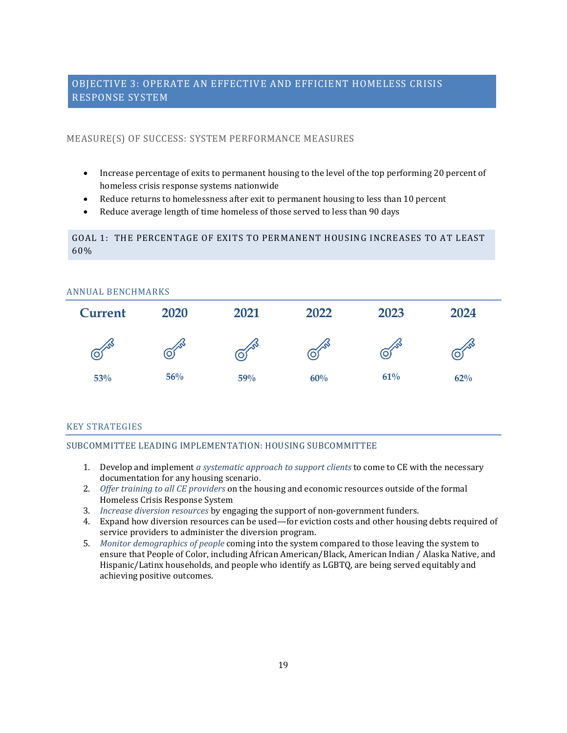## OBJECTIVE 3: OPERATE AN EFFECTIVE AND EFFICIENT HOMELESS CRISIS RESPONSE SYSTEM

## MEASURE(S) OF SUCCESS: SYSTEM PERFORMANCE MEASURES

- Increase percentage of exits to permanent housing to the level of the top performing 20 percent of homeless crisis response systems nationwide
- Reduce returns to homelessness after exit to permanent housing to less than 10 percent
- Reduce average length of time homeless of those served to less than 90 days

## GOAL 1: THE PERCENTAGE OF EXITS TO PERMANENT HOUSING INCREASES TO AT LEAST 60%

| <b>ANNUAL BENCHMARKS</b> |            |      |      |      |      |  |  |  |
|--------------------------|------------|------|------|------|------|--|--|--|
| <b>Current</b>           | 2020       | 2021 | 2022 | 2023 | 2024 |  |  |  |
| O)                       | <u>(O)</u> | О.   |      | Ő    |      |  |  |  |
| 53%                      | 56%        | 59%  | 60%  | 61%  | 62%  |  |  |  |

## KEY STRATEGIES

## SUBCOMMITTEE LEADING IMPLEMENTATION: HOUSING SUBCOMMITTEE

- 1. Develop and implement *a systematic approach to support clients* to come to CE with the necessary documentation for any housing scenario.
- 2. *Offer training to all CE providers* on the housing and economic resources outside of the formal Homeless Crisis Response System
- 3. *Increase diversion resources* by engaging the support of non-government funders.
- 4. Expand how diversion resources can be used—for eviction costs and other housing debts required of service providers to administer the diversion program.
- 5. *Monitor demographics of people* coming into the system compared to those leaving the system to ensure that People of Color, including African American/Black, American Indian / Alaska Native, and Hispanic/Latinx households, and people who identify as LGBTQ, are being served equitably and achieving positive outcomes.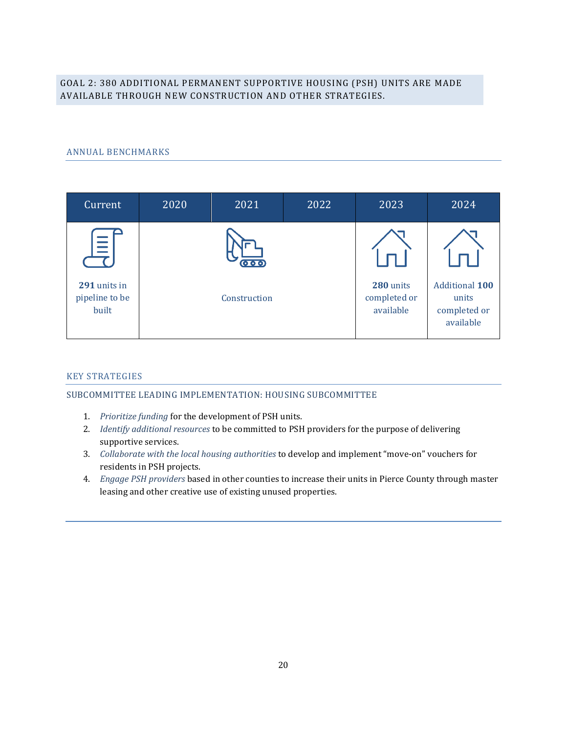## GOAL 2: 380 ADDITIONAL PERMANENT SUPPORTIVE HOUSING (PSH) UNITS ARE MADE AVAILABLE THROUGH NEW CONSTRUCTION AND OTHER STRATEGIES.

## ANNUAL BENCHMARKS

| Current                                 | 2020 | 2021                              | 2022 | 2023                                   | 2024                                                        |
|-----------------------------------------|------|-----------------------------------|------|----------------------------------------|-------------------------------------------------------------|
| $\equiv$                                |      | $\overline{\mathbf{O}\mathbf{O}}$ |      |                                        |                                                             |
| 291 units in<br>pipeline to be<br>built |      | Construction                      |      | 280 units<br>completed or<br>available | <b>Additional 100</b><br>units<br>completed or<br>available |

### KEY STRATEGIES

### SUBCOMMITTEE LEADING IMPLEMENTATION: HOUSING SUBCOMMITTEE

- 1. *Prioritize funding* for the development of PSH units.
- 2. *Identify additional resources* to be committed to PSH providers for the purpose of delivering supportive services.
- 3. *Collaborate with the local housing authorities* to develop and implement "move-on" vouchers for residents in PSH projects.
- 4. *Engage PSH providers* based in other counties to increase their units in Pierce County through master leasing and other creative use of existing unused properties.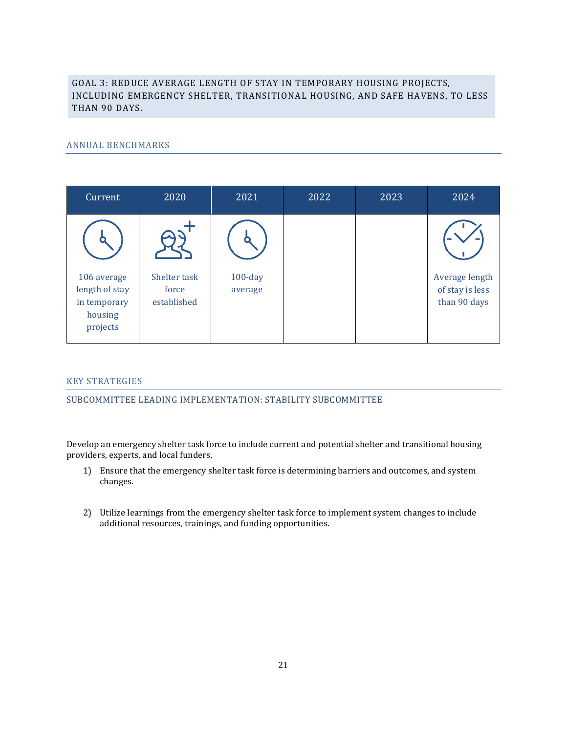## GOAL 3: REDUCE AVERAGE LENGTH OF STAY IN TEMPORARY HOUSING PROJECTS, INCLUDING EMERGENCY SHELTER, TRANSITIONAL HOUSING, AND SAFE HAVENS, TO LESS THAN 90 DAYS.

## ANNUAL BENCHMARKS

| Current                                                              | 2020                                 | 2021                  | 2022 | 2023 | 2024                                              |
|----------------------------------------------------------------------|--------------------------------------|-----------------------|------|------|---------------------------------------------------|
|                                                                      |                                      |                       |      |      |                                                   |
| 106 average<br>length of stay<br>in temporary<br>housing<br>projects | Shelter task<br>force<br>established | $100$ -day<br>average |      |      | Average length<br>of stay is less<br>than 90 days |

## KEY STRATEGIES

SUBCOMMITTEE LEADING IMPLEMENTATION: STABILITY SUBCOMMITTEE

Develop an emergency shelter task force to include current and potential shelter and transitional housing providers, experts, and local funders.

- 1) Ensure that the emergency shelter task force is determining barriers and outcomes, and system changes.
- 2) Utilize learnings from the emergency shelter task force to implement system changes to include additional resources, trainings, and funding opportunities.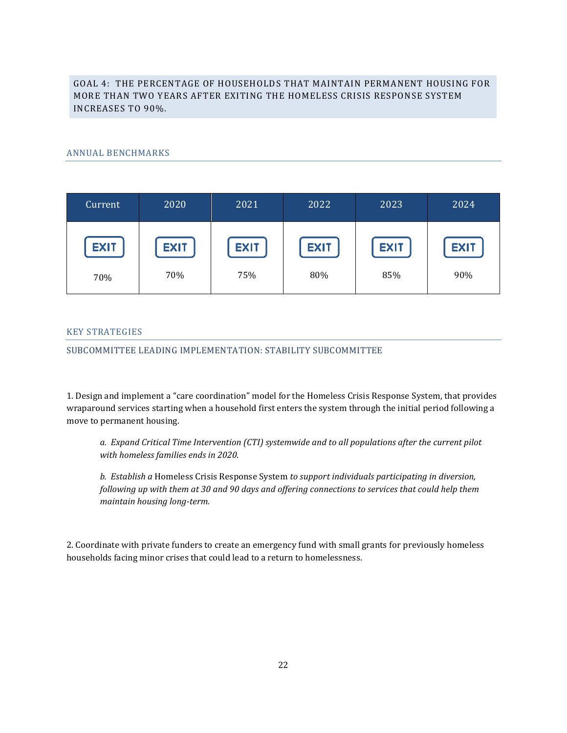## GOAL 4: THE PERCENTAGE OF HOUSEHOLDS THAT MAINTAIN PERMANENT HOUSING FOR MORE THAN TWO YEARS AFTER EXITING THE HOMELESS CRISIS RESPONSE SYSTEM INCREASES TO 90%.

## ANNUAL BENCHMARKS

| Current     | 2020        | 2021        | 2022        | 2023        | 2024        |
|-------------|-------------|-------------|-------------|-------------|-------------|
| <b>EXIT</b> | <b>EXIT</b> | <b>EXIT</b> | <b>EXIT</b> | <b>EXIT</b> | <b>EXIT</b> |
| 70%         | 70%         | 75%         | 80%         | 85%         | 90%         |

### KEY STRATEGIES

SUBCOMMITTEE LEADING IMPLEMENTATION: STABILITY SUBCOMMITTEE

1. Design and implement a "care coordination" model for the Homeless Crisis Response System, that provides wraparound services starting when a household first enters the system through the initial period following a move to permanent housing.

*a. Expand Critical Time Intervention (CTI) systemwide and to all populations after the current pilot with homeless families ends in 2020.* 

*b. Establish a* Homeless Crisis Response System *to support individuals participating in diversion, following up with them at 30 and 90 days and offering connections to services that could help them maintain housing long-term.*

2. Coordinate with private funders to create an emergency fund with small grants for previously homeless households facing minor crises that could lead to a return to homelessness.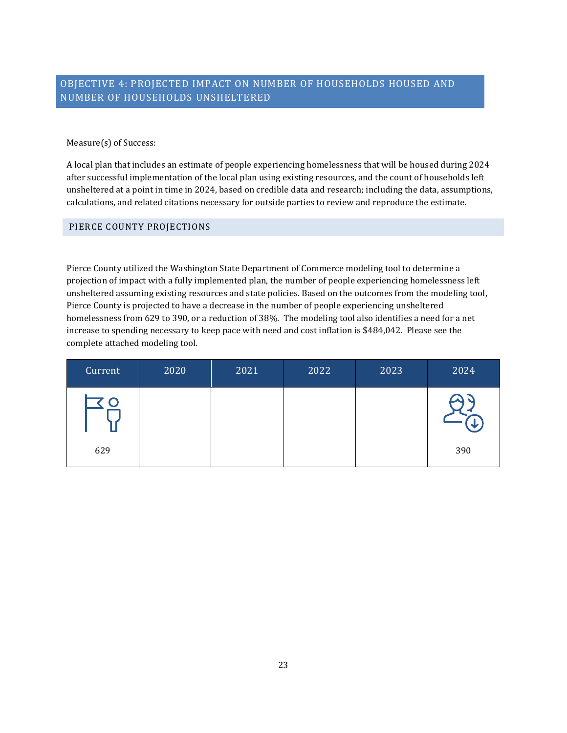## OBJECTIVE 4: PROJECTED IMPACT ON NUMBER OF HOUSEHOLDS HOUSED AND NUMBER OF HOUSEHOLDS UNSHELTERED

## Measure(s) of Success:

A local plan that includes an estimate of people experiencing homelessness that will be housed during 2024 after successful implementation of the local plan using existing resources, and the count of households left unsheltered at a point in time in 2024, based on credible data and research; including the data, assumptions, calculations, and related citations necessary for outside parties to review and reproduce the estimate.

## PIERCE COUNTY PROJECTIONS

Pierce County utilized the Washington State Department of Commerce modeling tool to determine a projection of impact with a fully implemented plan, the number of people experiencing homelessness left unsheltered assuming existing resources and state policies. Based on the outcomes from the modeling tool, Pierce County is projected to have a decrease in the number of people experiencing unsheltered homelessness from 629 to 390, or a reduction of 38%. The modeling tool also identifies a need for a net increase to spending necessary to keep pace with need and cost inflation is \$484,042. Please see the complete attached modeling tool.

| Current | 2020 | 2021 | 2022 | 2023 | 2024 |
|---------|------|------|------|------|------|
|         |      |      |      |      |      |
| 629     |      |      |      |      | 390  |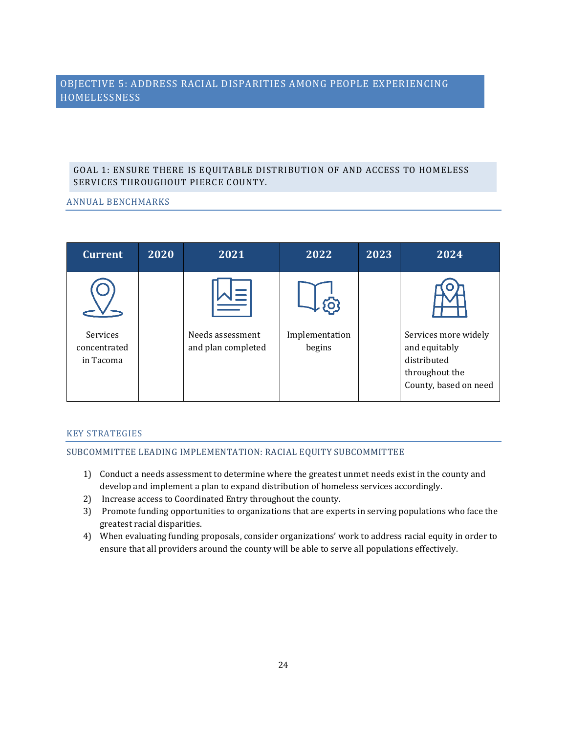## OBJECTIVE 5: ADDRESS RACIAL DISPARITIES AMONG PEOPLE EXPERIENCING **HOMELESSNESS**

## GOAL 1: ENSURE THERE IS EQUITABLE DISTRIBUTION OF AND ACCESS TO HOMELESS SERVICES THROUGHOUT PIERCE COUNTY.

## ANNUAL BENCHMARKS

| <b>Current</b>                        | 2020 | 2021                                   | 2022                     | 2023 | 2024                                                                                            |
|---------------------------------------|------|----------------------------------------|--------------------------|------|-------------------------------------------------------------------------------------------------|
| Services<br>concentrated<br>in Tacoma |      | Needs assessment<br>and plan completed | Implementation<br>begins |      | Services more widely<br>and equitably<br>distributed<br>throughout the<br>County, based on need |
|                                       |      |                                        |                          |      |                                                                                                 |

## KEY STRATEGIES

## SUBCOMMITTEE LEADING IMPLEMENTATION: RACIAL EQUITY SUBCOMMITTEE

- 1) Conduct a needs assessment to determine where the greatest unmet needs exist in the county and develop and implement a plan to expand distribution of homeless services accordingly.
- 2) Increase access to Coordinated Entry throughout the county.
- 3) Promote funding opportunities to organizations that are experts in serving populations who face the greatest racial disparities.
- 4) When evaluating funding proposals, consider organizations' work to address racial equity in order to ensure that all providers around the county will be able to serve all populations effectively.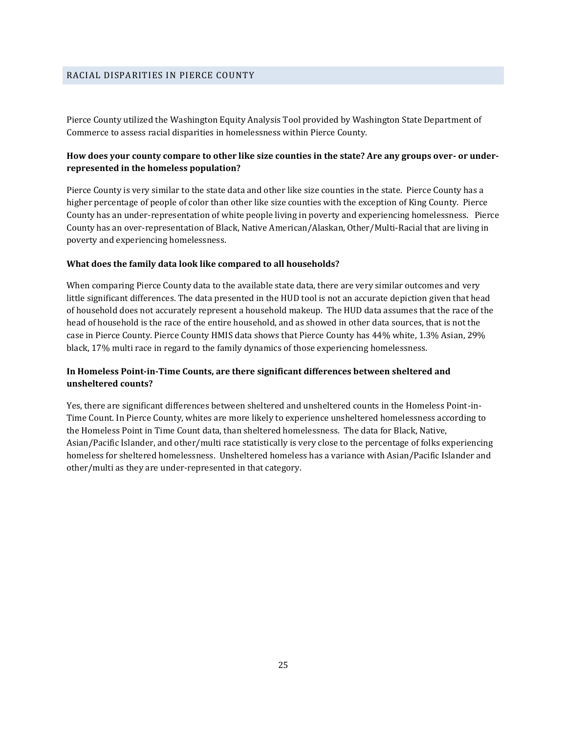Pierce County utilized the Washington Equity Analysis Tool provided by Washington State Department of Commerce to assess racial disparities in homelessness within Pierce County.

## **How does your county compare to other like size counties in the state? Are any groups over- or underrepresented in the homeless population?**

Pierce County is very similar to the state data and other like size counties in the state. Pierce County has a higher percentage of people of color than other like size counties with the exception of King County. Pierce County has an under-representation of white people living in poverty and experiencing homelessness. Pierce County has an over-representation of Black, Native American/Alaskan, Other/Multi-Racial that are living in poverty and experiencing homelessness.

#### **What does the family data look like compared to all households?**

When comparing Pierce County data to the available state data, there are very similar outcomes and very little significant differences. The data presented in the HUD tool is not an accurate depiction given that head of household does not accurately represent a household makeup. The HUD data assumes that the race of the head of household is the race of the entire household, and as showed in other data sources, that is not the case in Pierce County. Pierce County HMIS data shows that Pierce County has 44% white, 1.3% Asian, 29% black, 17% multi race in regard to the family dynamics of those experiencing homelessness.

## **In Homeless Point-in-Time Counts, are there significant differences between sheltered and unsheltered counts?**

Yes, there are significant differences between sheltered and unsheltered counts in the Homeless Point-in-Time Count. In Pierce County, whites are more likely to experience unsheltered homelessness according to the Homeless Point in Time Count data, than sheltered homelessness. The data for Black, Native, Asian/Pacific Islander, and other/multi race statistically is very close to the percentage of folks experiencing homeless for sheltered homelessness. Unsheltered homeless has a variance with Asian/Pacific Islander and other/multi as they are under-represented in that category.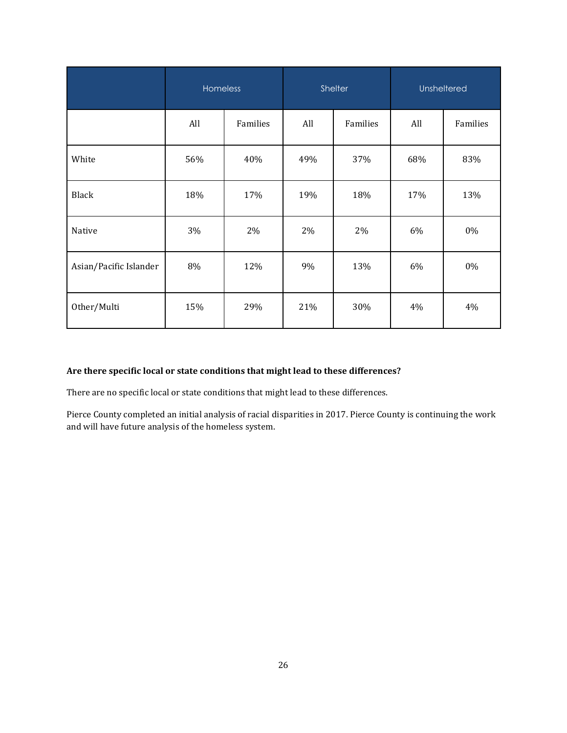|                        | <b>Homeless</b> |          | Shelter |          | Unsheltered |          |
|------------------------|-----------------|----------|---------|----------|-------------|----------|
|                        | All             | Families | All     | Families | All         | Families |
| White                  | 56%             | 40%      | 49%     | 37%      | 68%         | 83%      |
| Black                  | 18%             | 17%      | 19%     | 18%      | 17%         | 13%      |
| Native                 | 3%              | 2%       | 2%      | 2%       | 6%          | 0%       |
| Asian/Pacific Islander | 8%              | 12%      | 9%      | 13%      | 6%          | 0%       |
| Other/Multi            | 15%             | 29%      | 21%     | 30%      | 4%          | 4%       |

## **Are there specific local or state conditions that might lead to these differences?**

There are no specific local or state conditions that might lead to these differences.

Pierce County completed an initial analysis of racial disparities in 2017. Pierce County is continuing the work and will have future analysis of the homeless system.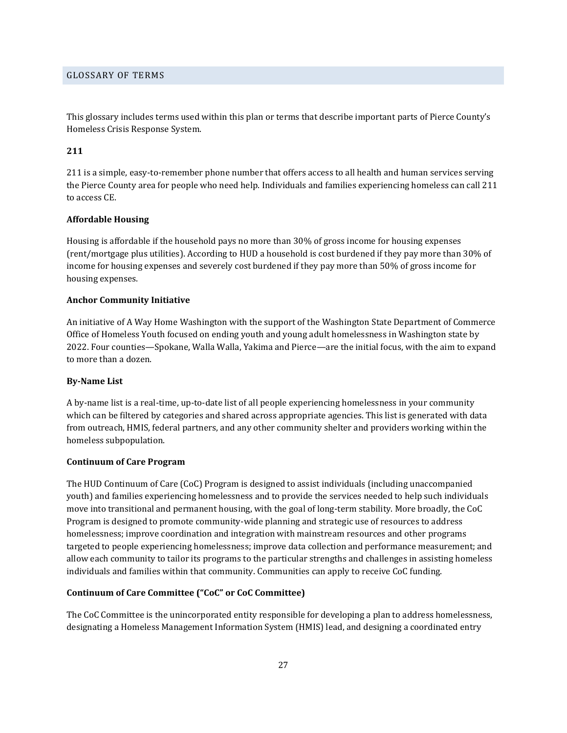### GLOSSARY OF TERMS

This glossary includes terms used within this plan or terms that describe important parts of Pierce County's Homeless Crisis Response System.

### **211**

211 is a simple, easy-to-remember phone number that offers access to all health and human services serving the Pierce County area for people who need help. Individuals and families experiencing homeless can call 211 to access CE.

### **Affordable Housing**

Housing is affordable if the household pays no more than 30% of gross income for housing expenses (rent/mortgage plus utilities). According to HUD a household is cost burdened if they pay more than 30% of income for housing expenses and severely cost burdened if they pay more than 50% of gross income for housing expenses.

#### **Anchor Community Initiative**

An initiative of A Way Home Washington with the support of the Washington State Department of Commerce Office of Homeless Youth focused on ending youth and young adult homelessness in Washington state by 2022. Four counties—Spokane, Walla Walla, Yakima and Pierce—are the initial focus, with the aim to expand to more than a dozen.

### **By-Name List**

A by-name list is a real-time, up-to-date list of all people experiencing homelessness in your community which can be filtered by categories and shared across appropriate agencies. This list is generated with data from outreach, HMIS, federal partners, and any other community shelter and providers working within the homeless subpopulation.

#### **Continuum of Care Program**

The HUD Continuum of Care (CoC) Program is designed to assist individuals (including unaccompanied youth) and families experiencing homelessness and to provide the services needed to help such individuals move into transitional and permanent housing, with the goal of long-term stability. More broadly, the CoC Program is designed to promote community-wide planning and strategic use of resources to address homelessness; improve coordination and integration with mainstream resources and other programs targeted to people experiencing homelessness; improve data collection and performance measurement; and allow each community to tailor its programs to the particular strengths and challenges in assisting homeless individuals and families within that community. Communities can apply to receive CoC funding.

### **Continuum of Care Committee ("CoC" or CoC Committee)**

The CoC Committee is the unincorporated entity responsible for developing a plan to address homelessness, designating a Homeless Management Information System (HMIS) lead, and designing a coordinated entry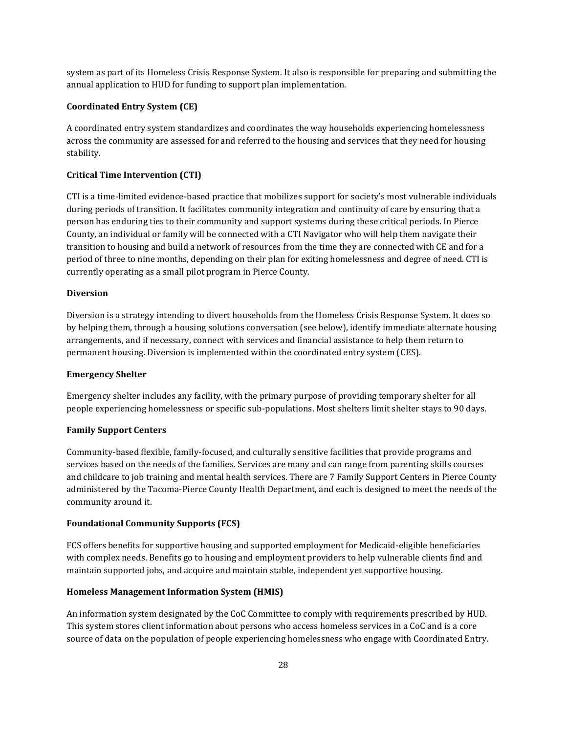system as part of its Homeless Crisis Response System. It also is responsible for preparing and submitting the annual application to HUD for funding to support plan implementation.

#### **Coordinated Entry System (CE)**

A coordinated entry system standardizes and coordinates the way households experiencing homelessness across the community are assessed for and referred to the housing and services that they need for housing stability.

#### **Critical Time Intervention (CTI)**

CTI is a time-limited evidence-based practice that mobilizes support for society's most vulnerable individuals during periods of transition. It facilitates community integration and continuity of care by ensuring that a person has enduring ties to their community and support systems during these critical periods. In Pierce County, an individual or family will be connected with a CTI Navigator who will help them navigate their transition to housing and build a network of resources from the time they are connected with CE and for a period of three to nine months, depending on their plan for exiting homelessness and degree of need. CTI is currently operating as a small pilot program in Pierce County.

#### **Diversion**

Diversion is a strategy intending to divert households from the Homeless Crisis Response System. It does so by helping them, through a housing solutions conversation (see below), identify immediate alternate housing arrangements, and if necessary, connect with services and financial assistance to help them return to permanent housing. Diversion is implemented within the coordinated entry system (CES).

#### **Emergency Shelter**

Emergency shelter includes any facility, with the primary purpose of providing temporary shelter for all people experiencing homelessness or specific sub‐populations. Most shelters limit shelter stays to 90 days.

### **Family Support Centers**

Community-based flexible, family-focused, and culturally sensitive facilities that provide programs and services based on the needs of the families. Services are many and can range from parenting skills courses and childcare to job training and mental health services. There are 7 Family Support Centers in Pierce County administered by the Tacoma-Pierce County Health Department, and each is designed to meet the needs of the community around it.

### **Foundational Community Supports (FCS)**

FCS offers benefits for supportive housing and supported employment for Medicaid-eligible beneficiaries with complex needs. Benefits go to housing and employment providers to help vulnerable clients find and maintain supported jobs, and acquire and maintain stable, independent yet supportive housing.

### **Homeless Management Information System (HMIS)**

An information system designated by the CoC Committee to comply with requirements prescribed by HUD. This system stores client information about persons who access homeless services in a CoC and is a core source of data on the population of people experiencing homelessness who engage with Coordinated Entry.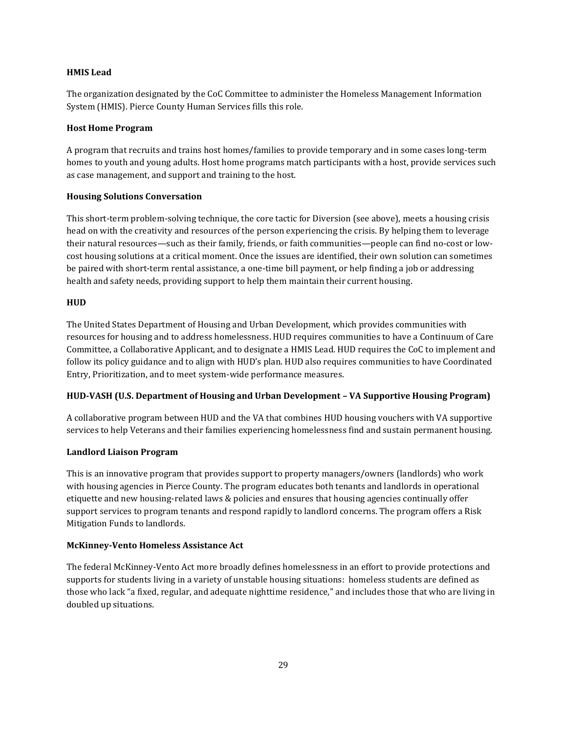### **HMIS Lead**

The organization designated by the CoC Committee to administer the Homeless Management Information System (HMIS). Pierce County Human Services fills this role.

### **Host Home Program**

A program that recruits and trains host homes/families to provide temporary and in some cases long-term homes to youth and young adults. Host home programs match participants with a host, provide services such as case management, and support and training to the host.

### **Housing Solutions Conversation**

This short-term problem-solving technique, the core tactic for Diversion (see above), meets a housing crisis head on with the creativity and resources of the person experiencing the crisis. By helping them to leverage their natural resources—such as their family, friends, or faith communities—people can find no-cost or lowcost housing solutions at a critical moment. Once the issues are identified, their own solution can sometimes be paired with short-term rental assistance, a one-time bill payment, or help finding a job or addressing health and safety needs, providing support to help them maintain their current housing.

## **HUD**

The United States Department of Housing and Urban Development, which provides communities with resources for housing and to address homelessness. HUD requires communities to have a Continuum of Care Committee, a Collaborative Applicant, and to designate a HMIS Lead. HUD requires the CoC to implement and follow its policy guidance and to align with HUD's plan. HUD also requires communities to have Coordinated Entry, Prioritization, and to meet system-wide performance measures.

## **HUD-VASH (U.S. Department of Housing and Urban Development – VA Supportive Housing Program)**

A collaborative program between HUD and the VA that combines HUD housing vouchers with VA supportive services to help Veterans and their families experiencing homelessness find and sustain permanent housing.

## **Landlord Liaison Program**

This is an innovative program that provides support to property managers/owners (landlords) who work with housing agencies in Pierce County. The program educates both tenants and landlords in operational etiquette and new housing-related laws & policies and ensures that housing agencies continually offer support services to program tenants and respond rapidly to landlord concerns. The program offers a Risk Mitigation Funds to landlords.

## **McKinney-Vento Homeless Assistance Act**

The federal McKinney-Vento Act more broadly defines homelessness in an effort to provide protections and supports for students living in a variety of unstable housing situations: homeless students are defined as those who lack "a fixed, regular, and adequate nighttime residence," and includes those that who are living in doubled up situations.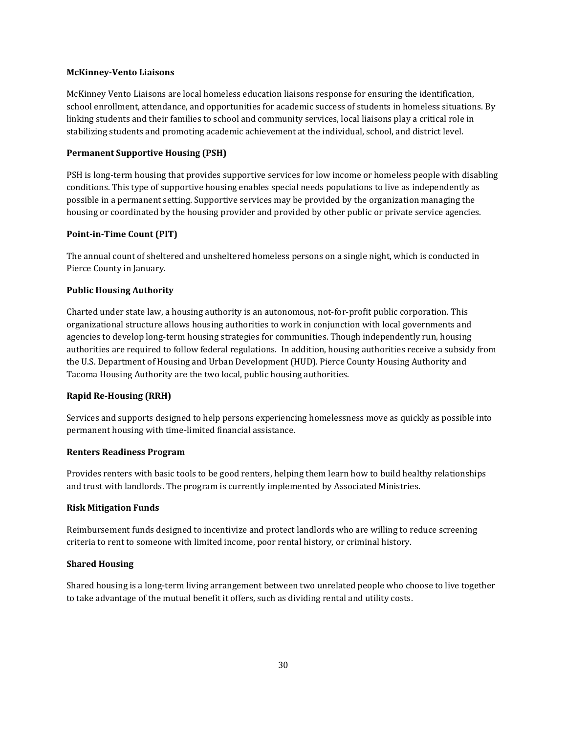### **McKinney-Vento Liaisons**

McKinney Vento Liaisons are local homeless education liaisons response for ensuring the identification, school enrollment, attendance, and opportunities for academic success of students in homeless situations. By linking students and their families to school and community services, local liaisons play a critical role in stabilizing students and promoting academic achievement at the individual, school, and district level.

## **Permanent Supportive Housing (PSH)**

PSH is long-term housing that provides supportive services for low income or homeless people with disabling conditions. This type of supportive housing enables special needs populations to live as independently as possible in a permanent setting. Supportive services may be provided by the organization managing the housing or coordinated by the housing provider and provided by other public or private service agencies.

## **Point-in-Time Count (PIT)**

The annual count of sheltered and unsheltered homeless persons on a single night, which is conducted in Pierce County in January.

## **Public Housing Authority**

Charted under state law, a housing authority is an autonomous, not-for-profit public corporation. This organizational structure allows housing authorities to work in conjunction with local governments and agencies to develop long-term housing strategies for communities. Though independently run, housing authorities are required to follow federal regulations. In addition, housing authorities receive a subsidy from the U.S. Department of Housing and Urban Development (HUD). Pierce County Housing Authority and Tacoma Housing Authority are the two local, public housing authorities.

## **Rapid Re-Housing (RRH)**

Services and supports designed to help persons experiencing homelessness move as quickly as possible into permanent housing with time-limited financial assistance.

## **Renters Readiness Program**

Provides renters with basic tools to be good renters, helping them learn how to build healthy relationships and trust with landlords. The program is currently implemented by Associated Ministries.

## **Risk Mitigation Funds**

Reimbursement funds designed to incentivize and protect landlords who are willing to reduce screening criteria to rent to someone with limited income, poor rental history, or criminal history.

## **Shared Housing**

Shared housing is a long-term living arrangement between two unrelated people who choose to live together to take advantage of the mutual benefit it offers, such as dividing rental and utility costs.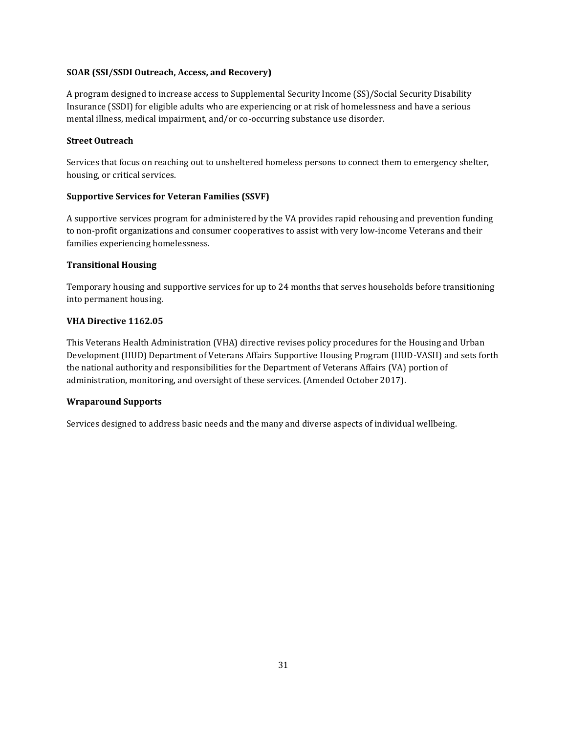## **SOAR (SSI/SSDI Outreach, Access, and Recovery)**

A program designed to increase access to Supplemental Security Income (SS)/Social Security Disability Insurance (SSDI) for eligible adults who are experiencing or at risk of homelessness and have a serious mental illness, medical impairment, and/or co-occurring substance use disorder.

## **Street Outreach**

Services that focus on reaching out to unsheltered homeless persons to connect them to emergency shelter, housing, or critical services.

## **Supportive Services for Veteran Families (SSVF)**

A supportive services program for administered by the VA provides rapid rehousing and prevention funding to non-profit organizations and consumer cooperatives to assist with very low-income Veterans and their families experiencing homelessness.

## **Transitional Housing**

Temporary housing and supportive services for up to 24 months that serves households before transitioning into permanent housing.

## **VHA Directive 1162.05**

This Veterans Health Administration (VHA) directive revises policy procedures for the Housing and Urban Development (HUD) Department of Veterans Affairs Supportive Housing Program (HUD-VASH) and sets forth the national authority and responsibilities for the Department of Veterans Affairs (VA) portion of administration, monitoring, and oversight of these services. (Amended October 2017).

## **Wraparound Supports**

Services designed to address basic needs and the many and diverse aspects of individual wellbeing.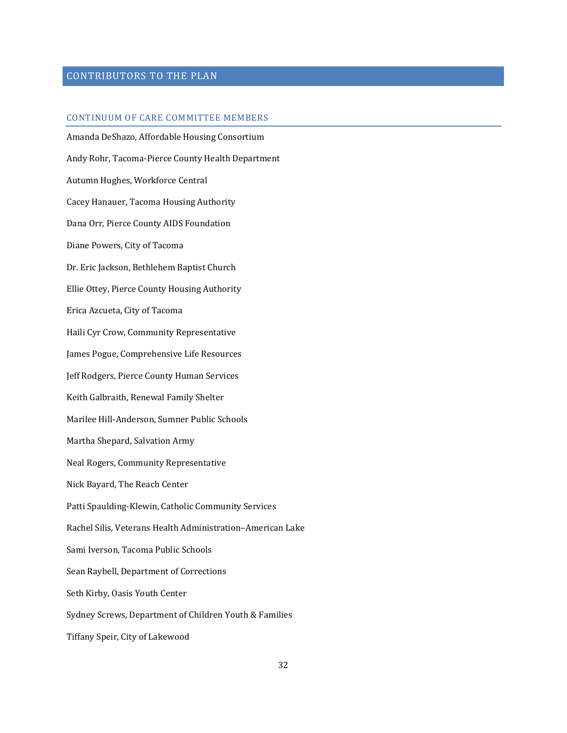## CONTRIBUTORS TO THE PLAN

### CONTINUUM OF CARE COMMITTEE MEMBERS

Amanda DeShazo, Affordable Housing Consortium Andy Rohr, Tacoma-Pierce County Health Department Autumn Hughes, Workforce Central Cacey Hanauer, Tacoma Housing Authority Dana Orr, Pierce County AIDS Foundation Diane Powers, City of Tacoma Dr. Eric Jackson, Bethlehem Baptist Church Ellie Ottey, Pierce County Housing Authority Erica Azcueta, City of Tacoma Haili Cyr Crow, Community Representative James Pogue, Comprehensive Life Resources Jeff Rodgers, Pierce County Human Services Keith Galbraith, Renewal Family Shelter Marilee Hill-Anderson, Sumner Public Schools Martha Shepard, Salvation Army Neal Rogers, Community Representative Nick Bayard, The Reach Center Patti Spaulding-Klewin, Catholic Community Services Rachel Silis, Veterans Health Administration–American Lake Sami Iverson, Tacoma Public Schools Sean Raybell, Department of Corrections Seth Kirby, Oasis Youth Center Sydney Screws, Department of Children Youth & Families Tiffany Speir, City of Lakewood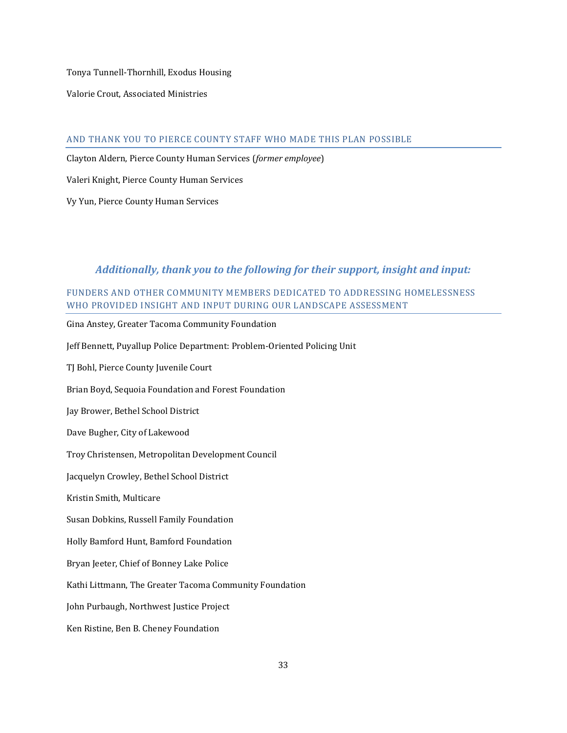Tonya Tunnell-Thornhill, Exodus Housing

Valorie Crout, Associated Ministries

### AND THANK YOU TO PIERCE COUNTY STAFF WHO MADE THIS PLAN POSSIBLE

Clayton Aldern, Pierce County Human Services (*former employee*)

Valeri Knight, Pierce County Human Services

Vy Yun, Pierce County Human Services

## *Additionally, thank you to the following for their support, insight and input:*

## FUNDERS AND OTHER COMMUNITY MEMBERS DEDICATED TO ADDRESSING HOMELESSNESS WHO PROVIDED INSIGHT AND INPUT DURING OUR LANDSCAPE ASSESSMENT

Gina Anstey, Greater Tacoma Community Foundation Jeff Bennett, Puyallup Police Department: Problem-Oriented Policing Unit TJ Bohl, Pierce County Juvenile Court Brian Boyd, Sequoia Foundation and Forest Foundation Jay Brower, Bethel School District Dave Bugher, City of Lakewood Troy Christensen, Metropolitan Development Council Jacquelyn Crowley, Bethel School District Kristin Smith, Multicare Susan Dobkins, Russell Family Foundation Holly Bamford Hunt, Bamford Foundation Bryan Jeeter, Chief of Bonney Lake Police Kathi Littmann, The Greater Tacoma Community Foundation John Purbaugh, Northwest Justice Project Ken Ristine, Ben B. Cheney Foundation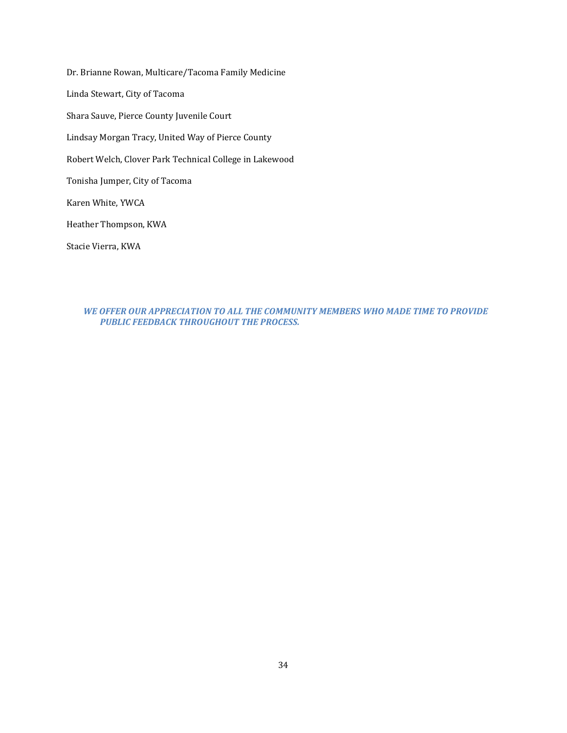Dr. Brianne Rowan, Multicare/Tacoma Family Medicine Linda Stewart, City of Tacoma Shara Sauve, Pierce County Juvenile Court Lindsay Morgan Tracy, United Way of Pierce County Robert Welch, Clover Park Technical College in Lakewood Tonisha Jumper, City of Tacoma Karen White, YWCA Heather Thompson, KWA Stacie Vierra, KWA

*WE OFFER OUR APPRECIATION TO ALL THE COMMUNITY MEMBERS WHO MADE TIME TO PROVIDE PUBLIC FEEDBACK THROUGHOUT THE PROCESS.*